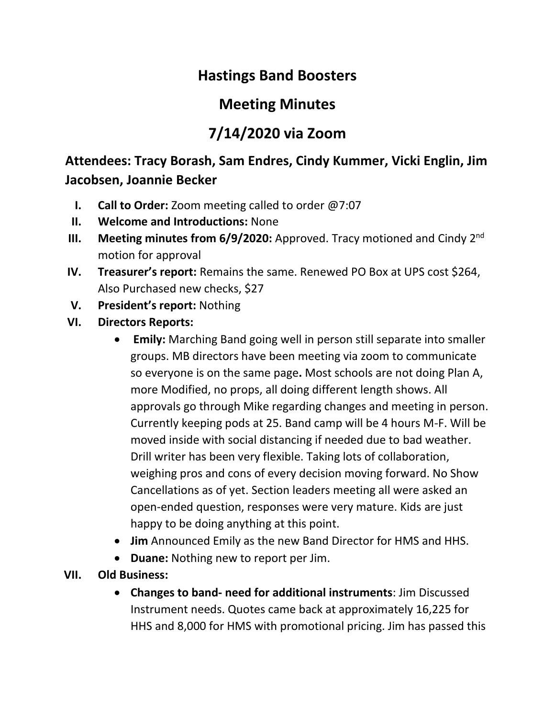## **Hastings Band Boosters**

## **Meeting Minutes**

# **7/14/2020 via Zoom**

### **Attendees: Tracy Borash, Sam Endres, Cindy Kummer, Vicki Englin, Jim Jacobsen, Joannie Becker**

- **I. Call to Order:** Zoom meeting called to order @7:07
- **II. Welcome and Introductions:** None
- **III.** Meeting minutes from 6/9/2020: Approved. Tracy motioned and Cindy 2<sup>nd</sup> motion for approval
- **IV. Treasurer's report:** Remains the same. Renewed PO Box at UPS cost \$264, Also Purchased new checks, \$27
- **V. President's report:** Nothing
- **VI. Directors Reports:** 
	- **Emily:** Marching Band going well in person still separate into smaller groups. MB directors have been meeting via zoom to communicate so everyone is on the same page**.** Most schools are not doing Plan A, more Modified, no props, all doing different length shows. All approvals go through Mike regarding changes and meeting in person. Currently keeping pods at 25. Band camp will be 4 hours M-F. Will be moved inside with social distancing if needed due to bad weather. Drill writer has been very flexible. Taking lots of collaboration, weighing pros and cons of every decision moving forward. No Show Cancellations as of yet. Section leaders meeting all were asked an open-ended question, responses were very mature. Kids are just happy to be doing anything at this point.
	- **Jim** Announced Emily as the new Band Director for HMS and HHS.
	- **Duane:** Nothing new to report per Jim.
- **VII. Old Business:** 
	- **Changes to band- need for additional instruments**: Jim Discussed Instrument needs. Quotes came back at approximately 16,225 for HHS and 8,000 for HMS with promotional pricing. Jim has passed this